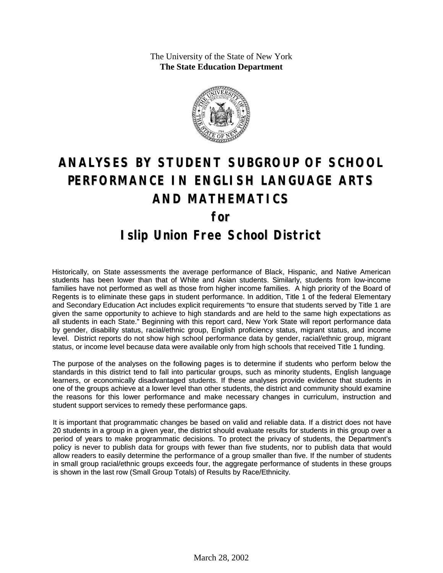The University of the State of New York **The State Education Department**



# **ANALYSES BY STUDENT SUBGROUP OF SCHOOL PERFORMANCE IN ENGLISH LANGUAGE ARTS AND MATHEMATICS for Islip Union Free School District**

Historically, on State assessments the average performance of Black, Hispanic, and Native American students has been lower than that of White and Asian students. Similarly, students from low-income families have not performed as well as those from higher income families. A high priority of the Board of Regents is to eliminate these gaps in student performance. In addition, Title 1 of the federal Elementary and Secondary Education Act includes explicit requirements "to ensure that students served by Title 1 are given the same opportunity to achieve to high standards and are held to the same high expectations as all students in each State." Beginning with this report card, New York State will report performance data by gender, disability status, racial/ethnic group, English proficiency status, migrant status, and income level. District reports do not show high school performance data by gender, racial/ethnic group, migrant status, or income level because data were available only from high schools that received Title 1 funding.

The purpose of the analyses on the following pages is to determine if students who perform below the standards in this district tend to fall into particular groups, such as minority students, English language learners, or economically disadvantaged students. If these analyses provide evidence that students in one of the groups achieve at a lower level than other students, the district and community should examine the reasons for this lower performance and make necessary changes in curriculum, instruction and student support services to remedy these performance gaps.

It is important that programmatic changes be based on valid and reliable data. If a district does not have 20 students in a group in a given year, the district should evaluate results for students in this group over a period of years to make programmatic decisions. To protect the privacy of students, the Department's policy is never to publish data for groups with fewer than five students, nor to publish data that would allow readers to easily determine the performance of a group smaller than five. If the number of students in small group racial/ethnic groups exceeds four, the aggregate performance of students in these groups is shown in the last row (Small Group Totals) of Results by Race/Ethnicity.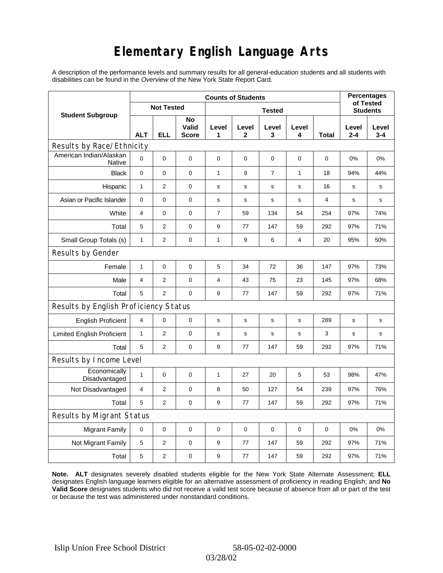# **Elementary English Language Arts**

A description of the performance levels and summary results for all general-education students and all students with disabilities can be found in the *Overview* of the New York State Report Card.

|                                       | <b>Counts of Students</b> |                |                             |                |                 |             |            |       |                  | <b>Percentages</b><br>of Tested |  |
|---------------------------------------|---------------------------|----------------|-----------------------------|----------------|-----------------|-------------|------------|-------|------------------|---------------------------------|--|
| <b>Student Subgroup</b>               | <b>Not Tested</b>         |                |                             |                | <b>Students</b> |             |            |       |                  |                                 |  |
|                                       | <b>ALT</b>                | <b>ELL</b>     | No<br>Valid<br><b>Score</b> | Level<br>1     | Level<br>2      | Level<br>3  | Level<br>4 | Total | Level<br>$2 - 4$ | Level<br>$3 - 4$                |  |
| Results by Race/Ethnicity             |                           |                |                             |                |                 |             |            |       |                  |                                 |  |
| American Indian/Alaskan<br>Native     | $\mathbf 0$               | 0              | 0                           | $\pmb{0}$      | 0               | 0           | 0          | 0     | $0\%$            | 0%                              |  |
| <b>Black</b>                          | $\pmb{0}$                 | 0              | 0                           | 1              | 9               | 7           | 1          | 18    | 94%              | 44%                             |  |
| Hispanic                              | $\mathbf{1}$              | 2              | $\pmb{0}$                   | $\mathbf s$    | $\mathbf S$     | $\mathbf S$ | s          | 16    | $\mathbf s$      | s                               |  |
| Asian or Pacific Islander             | 0                         | 0              | 0                           | $\mathbf s$    | s               | s           | s          | 4     | s                | s                               |  |
| White                                 | $\overline{4}$            | 0              | 0                           | $\overline{7}$ | 59              | 134         | 54         | 254   | 97%              | 74%                             |  |
| Total                                 | 5                         | $\overline{2}$ | $\pmb{0}$                   | 9              | 77              | 147         | 59         | 292   | 97%              | 71%                             |  |
| Small Group Totals (s)                | $\mathbf{1}$              | 2              | 0                           | 1              | 9               | 6           | 4          | 20    | 95%              | 50%                             |  |
| Results by Gender                     |                           |                |                             |                |                 |             |            |       |                  |                                 |  |
| Female                                | $\mathbf{1}$              | 0              | $\pmb{0}$                   | 5              | 34              | 72          | 36         | 147   | 97%              | 73%                             |  |
| Male                                  | 4                         | 2              | $\mathbf 0$                 | 4              | 43              | 75          | 23         | 145   | 97%              | 68%                             |  |
| Total                                 | 5                         | 2              | 0                           | 9              | 77              | 147         | 59         | 292   | 97%              | 71%                             |  |
| Results by English Proficiency Status |                           |                |                             |                |                 |             |            |       |                  |                                 |  |
| <b>English Proficient</b>             | 4                         | 0              | $\pmb{0}$                   | $\mathbf S$    | $\mathbf S$     | $\mathbf S$ | s          | 289   | $\mathbf S$      | $\mathbf s$                     |  |
| <b>Limited English Proficient</b>     | $\mathbf{1}$              | 2              | $\pmb{0}$                   | s              | $\mathbf S$     | s           | s          | 3     | $\mathbf s$      | $\mathbf s$                     |  |
| Total                                 | 5                         | $\overline{2}$ | 0                           | 9              | 77              | 147         | 59         | 292   | 97%              | 71%                             |  |
| Results by Income Level               |                           |                |                             |                |                 |             |            |       |                  |                                 |  |
| Economically<br>Disadvantaged         | $\mathbf{1}$              | 0              | $\mathbf 0$                 | $\mathbf{1}$   | 27              | 20          | 5          | 53    | 98%              | 47%                             |  |
| Not Disadvantaged                     | $\overline{4}$            | $\overline{2}$ | 0                           | 8              | 50              | 127         | 54         | 239   | 97%              | 76%                             |  |
| Total                                 | 5                         | $\overline{2}$ | $\pmb{0}$                   | 9              | 77              | 147         | 59         | 292   | 97%              | 71%                             |  |
| Results by Migrant Status             |                           |                |                             |                |                 |             |            |       |                  |                                 |  |
| <b>Migrant Family</b>                 | 0                         | 0              | $\pmb{0}$                   | $\pmb{0}$      | 0               | $\mathbf 0$ | 0          | 0     | 0%               | 0%                              |  |
| Not Migrant Family                    | 5                         | $\overline{2}$ | $\pmb{0}$                   | 9              | 77              | 147         | 59         | 292   | 97%              | 71%                             |  |
| Total                                 | $\mathbf 5$               | 2              | $\pmb{0}$                   | 9              | 77              | 147         | 59         | 292   | 97%              | 71%                             |  |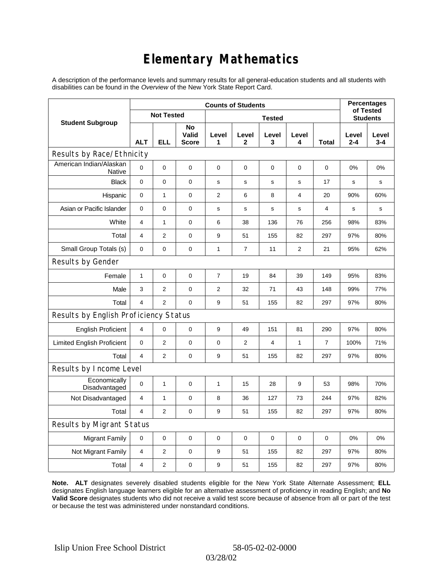# **Elementary Mathematics**

A description of the performance levels and summary results for all general-education students and all students with disabilities can be found in the *Overview* of the New York State Report Card.

|                                          | <b>Counts of Students</b> |                   |                             |                |                |             |                |                | <b>Percentages</b><br>of Tested |                  |
|------------------------------------------|---------------------------|-------------------|-----------------------------|----------------|----------------|-------------|----------------|----------------|---------------------------------|------------------|
| <b>Student Subgroup</b>                  |                           | <b>Not Tested</b> |                             | <b>Tested</b>  |                |             |                |                | <b>Students</b>                 |                  |
|                                          | <b>ALT</b>                | <b>ELL</b>        | No<br>Valid<br><b>Score</b> | Level<br>1     | Level<br>2     | Level<br>3  | Level<br>4     | Total          | Level<br>$2 - 4$                | Level<br>$3 - 4$ |
| Results by Race/Ethnicity                |                           |                   |                             |                |                |             |                |                |                                 |                  |
| American Indian/Alaskan<br><b>Native</b> | 0                         | $\mathbf 0$       | $\mathbf 0$                 | 0              | 0              | 0           | 0              | 0              | 0%                              | 0%               |
| <b>Black</b>                             | 0                         | 0                 | $\pmb{0}$                   | $\mathbf s$    | $\mathbf s$    | s           | $\mathbf s$    | 17             | s                               | s                |
| Hispanic                                 | 0                         | $\mathbf{1}$      | $\mathbf 0$                 | $\overline{2}$ | 6              | 8           | 4              | 20             | 90%                             | 60%              |
| Asian or Pacific Islander                | 0                         | 0                 | $\mathbf 0$                 | s              | $\mathbf s$    | $\mathbf s$ | $\mathbf s$    | 4              | s                               | s                |
| White                                    | 4                         | $\mathbf{1}$      | 0                           | 6              | 38             | 136         | 76             | 256            | 98%                             | 83%              |
| Total                                    | 4                         | $\overline{2}$    | $\pmb{0}$                   | 9              | 51             | 155         | 82             | 297            | 97%                             | 80%              |
| Small Group Totals (s)                   | 0                         | 0                 | $\mathbf 0$                 | 1              | $\overline{7}$ | 11          | $\overline{2}$ | 21             | 95%                             | 62%              |
| Results by Gender                        |                           |                   |                             |                |                |             |                |                |                                 |                  |
| Female                                   | $\mathbf{1}$              | $\mathsf 0$       | $\pmb{0}$                   | $\overline{7}$ | 19             | 84          | 39             | 149            | 95%                             | 83%              |
| Male                                     | 3                         | $\overline{2}$    | $\mathbf 0$                 | 2              | 32             | 71          | 43             | 148            | 99%                             | 77%              |
| Total                                    | $\overline{4}$            | $\overline{2}$    | $\mathbf 0$                 | 9              | 51             | 155         | 82             | 297            | 97%                             | 80%              |
| Results by English Proficiency Status    |                           |                   |                             |                |                |             |                |                |                                 |                  |
| <b>English Proficient</b>                | 4                         | 0                 | $\mathbf 0$                 | 9              | 49             | 151         | 81             | 290            | 97%                             | 80%              |
| <b>Limited English Proficient</b>        | 0                         | $\overline{2}$    | $\mathbf 0$                 | $\pmb{0}$      | $\overline{2}$ | 4           | 1              | $\overline{7}$ | 100%                            | 71%              |
| Total                                    | $\overline{4}$            | $\overline{2}$    | $\mathbf 0$                 | 9              | 51             | 155         | 82             | 297            | 97%                             | 80%              |
| Results by Income Level                  |                           |                   |                             |                |                |             |                |                |                                 |                  |
| Economically<br>Disadvantaged            | 0                         | 1                 | $\mathbf 0$                 | 1              | 15             | 28          | 9              | 53             | 98%                             | 70%              |
| Not Disadvantaged                        | 4                         | $\mathbf{1}$      | $\mathbf 0$                 | 8              | 36             | 127         | 73             | 244            | 97%                             | 82%              |
| Total                                    | $\overline{4}$            | 2                 | 0                           | 9              | 51             | 155         | 82             | 297            | 97%                             | 80%              |
| Results by Migrant Status                |                           |                   |                             |                |                |             |                |                |                                 |                  |
| <b>Migrant Family</b>                    | $\mathbf 0$               | 0                 | $\pmb{0}$                   | $\mathbf 0$    | $\mathbf 0$    | 0           | 0              | $\mathbf 0$    | 0%                              | 0%               |
| Not Migrant Family                       | $\overline{4}$            | 2                 | 0                           | 9              | 51             | 155         | 82             | 297            | 97%                             | 80%              |
| Total                                    | $\overline{4}$            | $\overline{2}$    | 0                           | 9              | 51             | 155         | 82             | 297            | 97%                             | 80%              |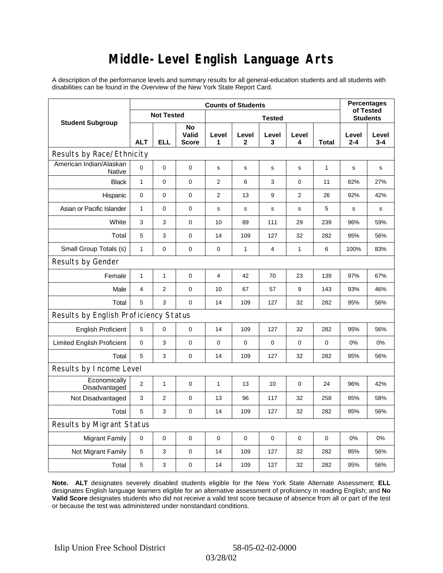### **Middle-Level English Language Arts**

A description of the performance levels and summary results for all general-education students and all students with disabilities can be found in the *Overview* of the New York State Report Card.

|                                       | <b>Counts of Students</b> |                |                      |                |              |                 |                |             | <b>Percentages</b><br>of Tested |              |
|---------------------------------------|---------------------------|----------------|----------------------|----------------|--------------|-----------------|----------------|-------------|---------------------------------|--------------|
| <b>Student Subgroup</b>               | <b>Not Tested</b>         |                |                      |                |              | <b>Students</b> |                |             |                                 |              |
|                                       | <b>ALT</b>                | <b>ELL</b>     | No<br>Valid<br>Score | Level<br>1     | Level<br>2   | Level<br>3      | Level<br>4     | Total       | Level<br>2-4                    | Level<br>3-4 |
| Results by Race/Ethnicity             |                           |                |                      |                |              |                 |                |             |                                 |              |
| American Indian/Alaskan<br>Native     | 0                         | $\mathbf 0$    | $\mathbf 0$          | $\mathbf s$    | s            | s               | s              | 1           | s                               | s            |
| <b>Black</b>                          | $\mathbf{1}$              | 0              | $\mathbf 0$          | $\overline{2}$ | 6            | 3               | $\mathbf 0$    | 11          | 82%                             | 27%          |
| Hispanic                              | 0                         | $\mathbf 0$    | $\pmb{0}$            | $\overline{2}$ | 13           | 9               | $\overline{2}$ | 26          | 92%                             | 42%          |
| Asian or Pacific Islander             | 1                         | 0              | 0                    | s              | $\mathbf s$  | $\mathbf s$     | $\mathbf s$    | 5           | $\mathbf s$                     | s            |
| White                                 | 3                         | 3              | $\pmb{0}$            | 10             | 89           | 111             | 29             | 239         | 96%                             | 59%          |
| Total                                 | 5                         | 3              | $\pmb{0}$            | 14             | 109          | 127             | 32             | 282         | 95%                             | 56%          |
| Small Group Totals (s)                | $\mathbf{1}$              | 0              | $\pmb{0}$            | $\pmb{0}$      | $\mathbf{1}$ | 4               | $\mathbf{1}$   | 6           | 100%                            | 83%          |
| Results by Gender                     |                           |                |                      |                |              |                 |                |             |                                 |              |
| Female                                | 1                         | 1              | $\pmb{0}$            | $\overline{4}$ | 42           | 70              | 23             | 139         | 97%                             | 67%          |
| Male                                  | $\overline{4}$            | $\overline{2}$ | $\mathbf 0$          | 10             | 67           | 57              | 9              | 143         | 93%                             | 46%          |
| Total                                 | 5                         | 3              | $\mathbf 0$          | 14             | 109          | 127             | 32             | 282         | 95%                             | 56%          |
| Results by English Proficiency Status |                           |                |                      |                |              |                 |                |             |                                 |              |
| <b>English Proficient</b>             | 5                         | 0              | $\mathbf 0$          | 14             | 109          | 127             | 32             | 282         | 95%                             | 56%          |
| <b>Limited English Proficient</b>     | 0                         | 3              | $\pmb{0}$            | 0              | $\mathbf 0$  | 0               | 0              | $\mathbf 0$ | 0%                              | 0%           |
| Total                                 | 5                         | 3              | 0                    | 14             | 109          | 127             | 32             | 282         | 95%                             | 56%          |
| Results by Income Level               |                           |                |                      |                |              |                 |                |             |                                 |              |
| Economically<br>Disadvantaged         | $\overline{2}$            | 1              | $\mathbf 0$          | 1              | 13           | 10              | $\pmb{0}$      | 24          | 96%                             | 42%          |
| Not Disadvantaged                     | 3                         | 2              | $\pmb{0}$            | 13             | 96           | 117             | 32             | 258         | 95%                             | 58%          |
| Total                                 | 5                         | 3              | $\mathbf 0$          | 14             | 109          | 127             | 32             | 282         | 95%                             | 56%          |
| <b>Results by Migrant Status</b>      |                           |                |                      |                |              |                 |                |             |                                 |              |
| <b>Migrant Family</b>                 | 0                         | 0              | $\pmb{0}$            | $\mathbf 0$    | $\mathbf 0$  | 0               | $\mathbf 0$    | $\mathbf 0$ | 0%                              | 0%           |
| Not Migrant Family                    | 5                         | 3              | $\mathbf 0$          | 14             | 109          | 127             | 32             | 282         | 95%                             | 56%          |
| Total                                 | 5                         | 3              | 0                    | 14             | 109          | 127             | 32             | 282         | 95%                             | 56%          |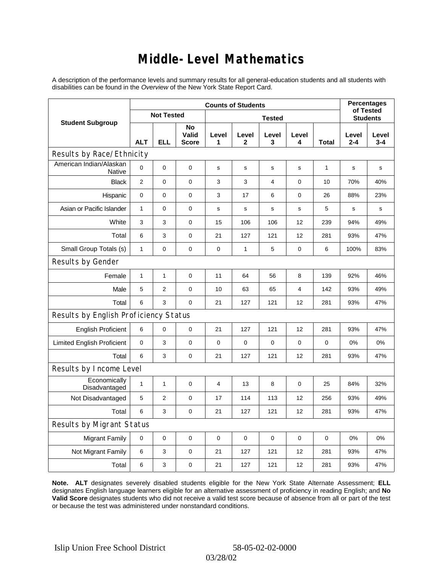### **Middle-Level Mathematics**

A description of the performance levels and summary results for all general-education students and all students with disabilities can be found in the *Overview* of the New York State Report Card.

|                                       | <b>Counts of Students</b> |                |                             |             |                       |             |            |             | <b>Percentages</b><br>of Tested |                  |
|---------------------------------------|---------------------------|----------------|-----------------------------|-------------|-----------------------|-------------|------------|-------------|---------------------------------|------------------|
| <b>Student Subgroup</b>               | <b>Not Tested</b>         |                |                             |             | <b>Students</b>       |             |            |             |                                 |                  |
|                                       | <b>ALT</b>                | <b>ELL</b>     | No<br>Valid<br><b>Score</b> | Level<br>1  | Level<br>$\mathbf{2}$ | Level<br>3  | Level<br>4 | Total       | Level<br>$2 - 4$                | Level<br>$3 - 4$ |
| Results by Race/Ethnicity             |                           |                |                             |             |                       |             |            |             |                                 |                  |
| American Indian/Alaskan<br>Native     | $\mathbf 0$               | 0              | $\mathbf 0$                 | s           | s                     | s           | s          | 1           | s                               | s                |
| <b>Black</b>                          | $\overline{2}$            | 0              | 0                           | 3           | 3                     | 4           | 0          | 10          | 70%                             | 40%              |
| Hispanic                              | 0                         | 0              | $\pmb{0}$                   | 3           | 17                    | 6           | 0          | 26          | 88%                             | 23%              |
| Asian or Pacific Islander             | $\mathbf{1}$              | 0              | $\mathbf 0$                 | s           | s                     | S           | s          | 5           | s                               | $\mathbf s$      |
| White                                 | 3                         | 3              | $\pmb{0}$                   | 15          | 106                   | 106         | 12         | 239         | 94%                             | 49%              |
| Total                                 | 6                         | 3              | $\pmb{0}$                   | 21          | 127                   | 121         | 12         | 281         | 93%                             | 47%              |
| Small Group Totals (s)                | $\mathbf{1}$              | 0              | $\mathbf 0$                 | 0           | $\mathbf{1}$          | 5           | 0          | 6           | 100%                            | 83%              |
| Results by Gender                     |                           |                |                             |             |                       |             |            |             |                                 |                  |
| Female                                | $\mathbf{1}$              | 1              | $\mathbf 0$                 | 11          | 64                    | 56          | 8          | 139         | 92%                             | 46%              |
| Male                                  | 5                         | 2              | $\mathbf 0$                 | 10          | 63                    | 65          | 4          | 142         | 93%                             | 49%              |
| Total                                 | 6                         | 3              | $\mathbf 0$                 | 21          | 127                   | 121         | 12         | 281         | 93%                             | 47%              |
| Results by English Proficiency Status |                           |                |                             |             |                       |             |            |             |                                 |                  |
| <b>English Proficient</b>             | 6                         | 0              | $\pmb{0}$                   | 21          | 127                   | 121         | 12         | 281         | 93%                             | 47%              |
| <b>Limited English Proficient</b>     | 0                         | 3              | $\pmb{0}$                   | $\mathbf 0$ | $\mathbf 0$           | $\mathbf 0$ | 0          | $\mathbf 0$ | 0%                              | 0%               |
| Total                                 | 6                         | 3              | 0                           | 21          | 127                   | 121         | 12         | 281         | 93%                             | 47%              |
| Results by Income Level               |                           |                |                             |             |                       |             |            |             |                                 |                  |
| Economically<br>Disadvantaged         | $\mathbf{1}$              | 1              | $\mathbf 0$                 | 4           | 13                    | 8           | 0          | 25          | 84%                             | 32%              |
| Not Disadvantaged                     | 5                         | $\overline{2}$ | $\mathbf 0$                 | 17          | 114                   | 113         | 12         | 256         | 93%                             | 49%              |
| Total                                 | 6                         | 3              | 0                           | 21          | 127                   | 121         | 12         | 281         | 93%                             | 47%              |
| Results by Migrant Status             |                           |                |                             |             |                       |             |            |             |                                 |                  |
| <b>Migrant Family</b>                 | $\mathbf 0$               | 0              | $\mathbf 0$                 | $\pmb{0}$   | $\mathbf 0$           | $\mathbf 0$ | 0          | 0           | 0%                              | 0%               |
| Not Migrant Family                    | 6                         | 3              | 0                           | 21          | 127                   | 121         | 12         | 281         | 93%                             | 47%              |
| Total                                 | 6                         | 3              | 0                           | 21          | 127                   | 121         | 12         | 281         | 93%                             | 47%              |